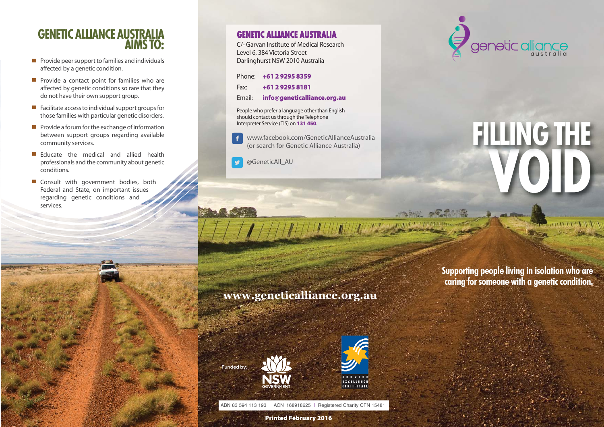## **GENETIC ALLIANCE AUSTRALIA AIMS TO:**

- **P** Provide peer support to families and individuals affected by a genetic condition.
- **Perovide a contact point for families who are** affected by genetic conditions so rare that they do not have their own support group.
- **E** Facilitate access to individual support groups for those families with particular genetic disorders.
- $\blacksquare$  Provide a forum for the exchange of information between support groups regarding available community services.
- $\blacksquare$  Educate the medical and allied health professionals and the community about genetic conditions.
- **E** Consult with government bodies, both Federal and State, on important issues regarding genetic conditions and services.

### **GENETIC ALLIANCE AUSTRALIA**

C/- Garvan Institute of Medical Research Level 6, 384 Victoria Street Darlinghurst NSW 2010 Australia

| Phone: +61 2 9295 8359             |
|------------------------------------|
| Fax: $+61292958181$                |
| Email: info@geneticalliance.org.au |

People who prefer a language other than English should contact us through the Telephone Interpreter Service (TIS) on **131 450**.

www.facebook.com/GeneticAllianceAustralia £ (or search for Genetic Alliance Australia)

@GeneticAll\_AU



# **VOID FILLING THE**

**THEFT CHIP** 

# **www.geneticalliance.org.au**

**Funded by:**



THUNHIN WEST

ABN 83 594 113 193 | ACN 168918625 | Registered Charity CFN 15481

**Printed February 2016**

**Supporting people living in isolation who are caring for someone with a genetic condition.**